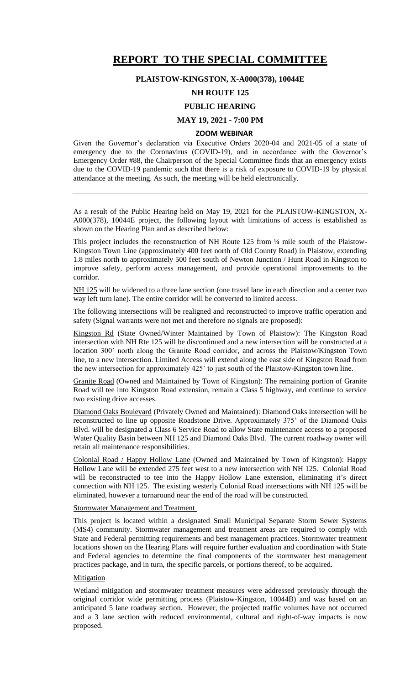# **REPORT TO THE SPECIAL COMMITTEE**

### **PLAISTOW-KINGSTON, X-A000(378), 10044E**

# **NH ROUTE 125**

# **PUBLIC HEARING**

## **MAY 19, 2021 - 7:00 PM**

#### **ZOOM WEBINAR**

Given the Governor's declaration via Executive Orders 2020-04 and 2021-05 of a state of emergency due to the Coronavirus (COVID-19), and in accordance with the Governor's Emergency Order #88, the Chairperson of the Special Committee finds that an emergency exists due to the COVID-19 pandemic such that there is a risk of exposure to COVID-19 by physical attendance at the meeting. As such, the meeting will be held electronically.

As a result of the Public Hearing held on May 19, 2021 for the PLAISTOW-KINGSTON, X-A000(378), 10044E project, the following layout with limitations of access is established as shown on the Hearing Plan and as described below:

This project includes the reconstruction of NH Route 125 from ¼ mile south of the Plaistow-Kingston Town Line (approximately 400 feet north of Old County Road) in Plaistow, extending 1.8 miles north to approximately 500 feet south of Newton Junction / Hunt Road in Kingston to improve safety, perform access management, and provide operational improvements to the corridor.

NH 125 will be widened to a three lane section (one travel lane in each direction and a center two way left turn lane). The entire corridor will be converted to limited access.

The following intersections will be realigned and reconstructed to improve traffic operation and safety (Signal warrants were not met and therefore no signals are proposed):

Kingston Rd (State Owned/Winter Maintained by Town of Plaistow): The Kingston Road intersection with NH Rte 125 will be discontinued and a new intersection will be constructed at a location 300' north along the Granite Road corridor, and across the Plaistow/Kingston Town line, to a new intersection. Limited Access will extend along the east side of Kingston Road from the new intersection for approximately 425' to just south of the Plaistow-Kingston town line.

Granite Road (Owned and Maintained by Town of Kingston): The remaining portion of Granite Road will tee into Kingston Road extension, remain a Class 5 highway, and continue to service two existing drive accesses.

Diamond Oaks Boulevard (Privately Owned and Maintained): Diamond Oaks intersection will be reconstructed to line up opposite Roadstone Drive. Approximately 375' of the Diamond Oaks Blvd. will be designated a Class 6 Service Road to allow State maintenance access to a proposed Water Quality Basin between NH 125 and Diamond Oaks Blvd. The current roadway owner will retain all maintenance responsibilities.

Colonial Road / Happy Hollow Lane (Owned and Maintained by Town of Kingston): Happy Hollow Lane will be extended 275 feet west to a new intersection with NH 125. Colonial Road will be reconstructed to tee into the Happy Hollow Lane extension, eliminating it's direct connection with NH 125. The existing westerly Colonial Road intersections with NH 125 will be eliminated, however a turnaround near the end of the road will be constructed.

Stormwater Management and Treatment

This project is located within a designated Small Municipal Separate Storm Sewer Systems (MS4) community. Stormwater management and treatment areas are required to comply with State and Federal permitting requirements and best management practices. Stormwater treatment locations shown on the Hearing Plans will require further evaluation and coordination with State and Federal agencies to determine the final components of the stormwater best management practices package, and in turn, the specific parcels, or portions thereof, to be acquired.

### Mitigation

Wetland mitigation and stormwater treatment measures were addressed previously through the original corridor wide permitting process (Plaistow-Kingston, 10044B) and was based on an anticipated 5 lane roadway section. However, the projected traffic volumes have not occurred and a 3 lane section with reduced environmental, cultural and right-of-way impacts is now proposed.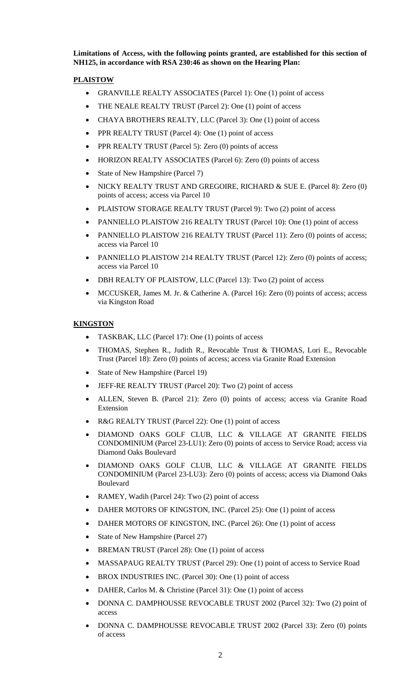**Limitations of Access, with the following points granted, are established for this section of NH125, in accordance with RSA 230:46 as shown on the Hearing Plan:**

## **PLAISTOW**

- GRANVILLE REALTY ASSOCIATES (Parcel 1): One (1) point of access
- THE NEALE REALTY TRUST (Parcel 2): One (1) point of access
- CHAYA BROTHERS REALTY, LLC (Parcel 3): One (1) point of access
- PPR REALTY TRUST (Parcel 4): One (1) point of access
- PPR REALTY TRUST (Parcel 5): Zero (0) points of access
- HORIZON REALTY ASSOCIATES (Parcel 6): Zero (0) points of access
- State of New Hampshire (Parcel 7)
- NICKY REALTY TRUST AND GREGOIRE, RICHARD & SUE E. (Parcel 8): Zero (0) points of access; access via Parcel 10
- PLAISTOW STORAGE REALTY TRUST (Parcel 9): Two (2) point of access
- PANNIELLO PLAISTOW 216 REALTY TRUST (Parcel 10): One (1) point of access
- PANNIELLO PLAISTOW 216 REALTY TRUST (Parcel 11): Zero (0) points of access; access via Parcel 10
- PANNIELLO PLAISTOW 214 REALTY TRUST (Parcel 12): Zero (0) points of access; access via Parcel 10
- DBH REALTY OF PLAISTOW, LLC (Parcel 13): Two (2) point of access
- MCCUSKER, James M. Jr. & Catherine A. (Parcel 16): Zero (0) points of access; access via Kingston Road

## **KINGSTON**

- TASKBAK, LLC (Parcel 17): One (1) points of access
- THOMAS, Stephen R., Judith R., Revocable Trust & THOMAS, Lori E., Revocable Trust (Parcel 18): Zero (0) points of access; access via Granite Road Extension
- State of New Hampshire (Parcel 19)
- JEFF-RE REALTY TRUST (Parcel 20): Two (2) point of access
- ALLEN, Steven B. (Parcel 21): Zero (0) points of access; access via Granite Road Extension
- R&G REALTY TRUST (Parcel 22): One (1) point of access
- DIAMOND OAKS GOLF CLUB, LLC & VILLAGE AT GRANITE FIELDS CONDOMINIUM (Parcel 23-LU1): Zero (0) points of access to Service Road; access via Diamond Oaks Boulevard
- DIAMOND OAKS GOLF CLUB, LLC & VILLAGE AT GRANITE FIELDS CONDOMINIUM (Parcel 23-LU3): Zero (0) points of access; access via Diamond Oaks Boulevard
- RAMEY, Wadih (Parcel 24): Two (2) point of access
- DAHER MOTORS OF KINGSTON, INC. (Parcel 25): One (1) point of access
- DAHER MOTORS OF KINGSTON, INC. (Parcel 26): One (1) point of access
- State of New Hampshire (Parcel 27)
- BREMAN TRUST (Parcel 28): One (1) point of access
- MASSAPAUG REALTY TRUST (Parcel 29): One (1) point of access to Service Road
- BROX INDUSTRIES INC. (Parcel 30): One (1) point of access
- DAHER, Carlos M. & Christine (Parcel 31): One (1) point of access
- DONNA C. DAMPHOUSSE REVOCABLE TRUST 2002 (Parcel 32): Two (2) point of access
- DONNA C. DAMPHOUSSE REVOCABLE TRUST 2002 (Parcel 33): Zero (0) points of access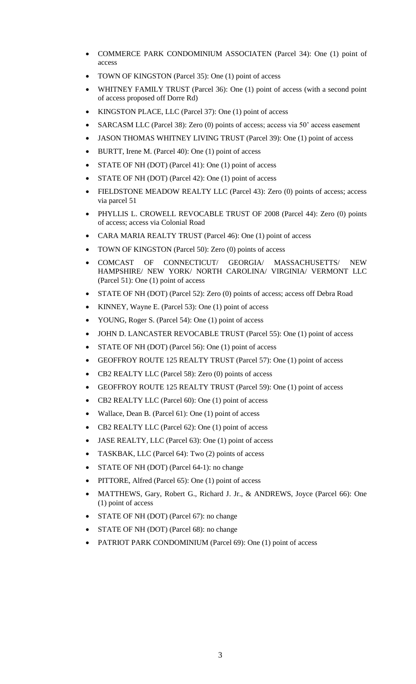- COMMERCE PARK CONDOMINIUM ASSOCIATEN (Parcel 34): One (1) point of access
- TOWN OF KINGSTON (Parcel 35): One (1) point of access
- WHITNEY FAMILY TRUST (Parcel 36): One (1) point of access (with a second point of access proposed off Dorre Rd)
- KINGSTON PLACE, LLC (Parcel 37): One (1) point of access
- SARCASM LLC (Parcel 38): Zero (0) points of access; access via 50' access easement
- JASON THOMAS WHITNEY LIVING TRUST (Parcel 39): One (1) point of access
- BURTT, Irene M. (Parcel 40): One (1) point of access
- STATE OF NH (DOT) (Parcel 41): One (1) point of access
- STATE OF NH (DOT) (Parcel 42): One (1) point of access
- FIELDSTONE MEADOW REALTY LLC (Parcel 43): Zero (0) points of access; access via parcel 51
- PHYLLIS L. CROWELL REVOCABLE TRUST OF 2008 (Parcel 44): Zero (0) points of access; access via Colonial Road
- CARA MARIA REALTY TRUST (Parcel 46): One (1) point of access
- TOWN OF KINGSTON (Parcel 50): Zero (0) points of access
- COMCAST OF CONNECTICUT/ GEORGIA/ MASSACHUSETTS/ NEW HAMPSHIRE/ NEW YORK/ NORTH CAROLINA/ VIRGINIA/ VERMONT LLC (Parcel 51): One (1) point of access
- STATE OF NH (DOT) (Parcel 52): Zero (0) points of access; access off Debra Road
- KINNEY, Wayne E. (Parcel 53): One (1) point of access
- YOUNG, Roger S. (Parcel 54): One (1) point of access
- JOHN D. LANCASTER REVOCABLE TRUST (Parcel 55): One (1) point of access
- STATE OF NH (DOT) (Parcel 56): One (1) point of access
- GEOFFROY ROUTE 125 REALTY TRUST (Parcel 57): One (1) point of access
- CB2 REALTY LLC (Parcel 58): Zero (0) points of access
- GEOFFROY ROUTE 125 REALTY TRUST (Parcel 59): One (1) point of access
- CB2 REALTY LLC (Parcel 60): One (1) point of access
- Wallace, Dean B. (Parcel 61): One (1) point of access
- CB2 REALTY LLC (Parcel 62): One (1) point of access
- JASE REALTY, LLC (Parcel 63): One (1) point of access
- TASKBAK, LLC (Parcel 64): Two (2) points of access
- STATE OF NH (DOT) (Parcel 64-1): no change
- PITTORE, Alfred (Parcel 65): One (1) point of access
- MATTHEWS, Gary, Robert G., Richard J. Jr., & ANDREWS, Joyce (Parcel 66): One (1) point of access
- STATE OF NH (DOT) (Parcel 67): no change
- STATE OF NH (DOT) (Parcel 68): no change
- PATRIOT PARK CONDOMINIUM (Parcel 69): One (1) point of access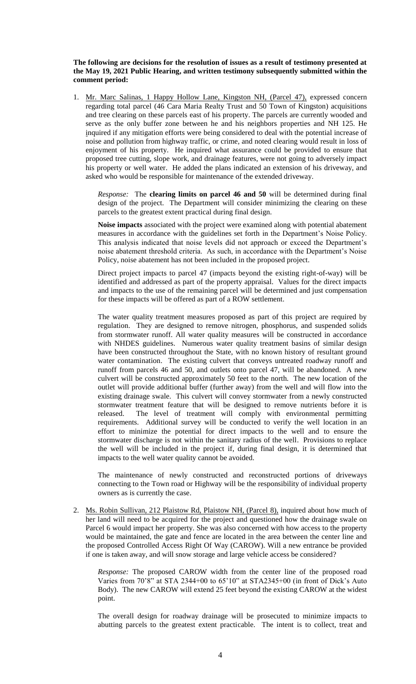### **The following are decisions for the resolution of issues as a result of testimony presented at the May 19, 2021 Public Hearing, and written testimony subsequently submitted within the comment period:**

1. Mr. Marc Salinas, 1 Happy Hollow Lane, Kingston NH, (Parcel 47), expressed concern regarding total parcel (46 Cara Maria Realty Trust and 50 Town of Kingston) acquisitions and tree clearing on these parcels east of his property. The parcels are currently wooded and serve as the only buffer zone between he and his neighbors properties and NH 125. He inquired if any mitigation efforts were being considered to deal with the potential increase of noise and pollution from highway traffic, or crime, and noted clearing would result in loss of enjoyment of his property. He inquired what assurance could be provided to ensure that proposed tree cutting, slope work, and drainage features, were not going to adversely impact his property or well water. He added the plans indicated an extension of his driveway, and asked who would be responsible for maintenance of the extended driveway.

*Response:* The **clearing limits on parcel 46 and 50** will be determined during final design of the project. The Department will consider minimizing the clearing on these parcels to the greatest extent practical during final design.

**Noise impacts** associated with the project were examined along with potential abatement measures in accordance with the guidelines set forth in the Department's Noise Policy. This analysis indicated that noise levels did not approach or exceed the Department's noise abatement threshold criteria. As such, in accordance with the Department's Noise Policy, noise abatement has not been included in the proposed project.

Direct project impacts to parcel 47 (impacts beyond the existing right-of-way) will be identified and addressed as part of the property appraisal. Values for the direct impacts and impacts to the use of the remaining parcel will be determined and just compensation for these impacts will be offered as part of a ROW settlement.

The water quality treatment measures proposed as part of this project are required by regulation. They are designed to remove nitrogen, phosphorus, and suspended solids from stormwater runoff. All water quality measures will be constructed in accordance with NHDES guidelines. Numerous water quality treatment basins of similar design have been constructed throughout the State, with no known history of resultant ground water contamination. The existing culvert that conveys untreated roadway runoff and runoff from parcels 46 and 50, and outlets onto parcel 47, will be abandoned. A new culvert will be constructed approximately 50 feet to the north. The new location of the outlet will provide additional buffer (further away) from the well and will flow into the existing drainage swale. This culvert will convey stormwater from a newly constructed stormwater treatment feature that will be designed to remove nutrients before it is released. The level of treatment will comply with environmental permitting requirements. Additional survey will be conducted to verify the well location in an effort to minimize the potential for direct impacts to the well and to ensure the stormwater discharge is not within the sanitary radius of the well. Provisions to replace the well will be included in the project if, during final design, it is determined that impacts to the well water quality cannot be avoided.

The maintenance of newly constructed and reconstructed portions of driveways connecting to the Town road or Highway will be the responsibility of individual property owners as is currently the case.

2. Ms. Robin Sullivan, 212 Plaistow Rd, Plaistow NH, (Parcel 8), inquired about how much of her land will need to be acquired for the project and questioned how the drainage swale on Parcel 6 would impact her property. She was also concerned with how access to the property would be maintained, the gate and fence are located in the area between the center line and the proposed Controlled Access Right Of Way (CAROW). Will a new entrance be provided if one is taken away, and will snow storage and large vehicle access be considered?

*Response:* The proposed CAROW width from the center line of the proposed road Varies from 70'8" at STA 2344+00 to 65'10" at STA2345+00 (in front of Dick's Auto Body). The new CAROW will extend 25 feet beyond the existing CAROW at the widest point.

The overall design for roadway drainage will be prosecuted to minimize impacts to abutting parcels to the greatest extent practicable. The intent is to collect, treat and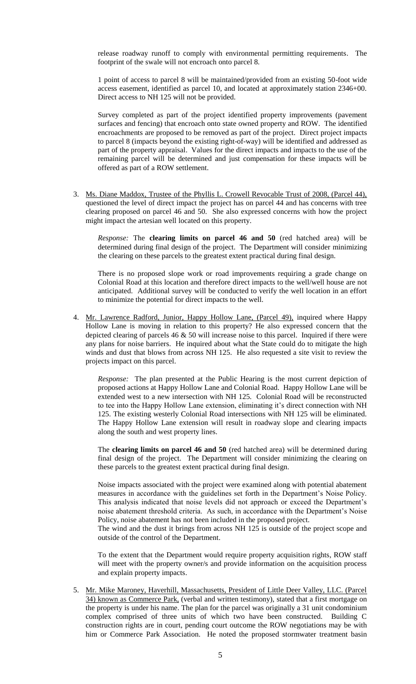release roadway runoff to comply with environmental permitting requirements. The footprint of the swale will not encroach onto parcel 8.

1 point of access to parcel 8 will be maintained/provided from an existing 50-foot wide access easement, identified as parcel 10, and located at approximately station 2346+00. Direct access to NH 125 will not be provided.

Survey completed as part of the project identified property improvements (pavement surfaces and fencing) that encroach onto state owned property and ROW. The identified encroachments are proposed to be removed as part of the project. Direct project impacts to parcel 8 (impacts beyond the existing right-of-way) will be identified and addressed as part of the property appraisal. Values for the direct impacts and impacts to the use of the remaining parcel will be determined and just compensation for these impacts will be offered as part of a ROW settlement.

3. Ms. Diane Maddox, Trustee of the Phyllis L. Crowell Revocable Trust of 2008, (Parcel 44), questioned the level of direct impact the project has on parcel 44 and has concerns with tree clearing proposed on parcel 46 and 50. She also expressed concerns with how the project might impact the artesian well located on this property.

*Response:* The **clearing limits on parcel 46 and 50** (red hatched area) will be determined during final design of the project. The Department will consider minimizing the clearing on these parcels to the greatest extent practical during final design.

There is no proposed slope work or road improvements requiring a grade change on Colonial Road at this location and therefore direct impacts to the well/well house are not anticipated. Additional survey will be conducted to verify the well location in an effort to minimize the potential for direct impacts to the well.

4. Mr. Lawrence Radford, Junior, Happy Hollow Lane, (Parcel 49), inquired where Happy Hollow Lane is moving in relation to this property? He also expressed concern that the depicted clearing of parcels 46 & 50 will increase noise to this parcel. Inquired if there were any plans for noise barriers. He inquired about what the State could do to mitigate the high winds and dust that blows from across NH 125. He also requested a site visit to review the projects impact on this parcel.

*Response:* The plan presented at the Public Hearing is the most current depiction of proposed actions at Happy Hollow Lane and Colonial Road. Happy Hollow Lane will be extended west to a new intersection with NH 125. Colonial Road will be reconstructed to tee into the Happy Hollow Lane extension, eliminating it's direct connection with NH 125. The existing westerly Colonial Road intersections with NH 125 will be eliminated. The Happy Hollow Lane extension will result in roadway slope and clearing impacts along the south and west property lines.

The **clearing limits on parcel 46 and 50** (red hatched area) will be determined during final design of the project. The Department will consider minimizing the clearing on these parcels to the greatest extent practical during final design.

Noise impacts associated with the project were examined along with potential abatement measures in accordance with the guidelines set forth in the Department's Noise Policy. This analysis indicated that noise levels did not approach or exceed the Department's noise abatement threshold criteria. As such, in accordance with the Department's Noise Policy, noise abatement has not been included in the proposed project.

The wind and the dust it brings from across NH 125 is outside of the project scope and outside of the control of the Department.

To the extent that the Department would require property acquisition rights, ROW staff will meet with the property owner/s and provide information on the acquisition process and explain property impacts.

5. Mr. Mike Maroney, Haverhill, Massachusetts, President of Little Deer Valley, LLC. (Parcel 34) known as Commerce Park, (verbal and written testimony), stated that a first mortgage on the property is under his name. The plan for the parcel was originally a 31 unit condominium complex comprised of three units of which two have been constructed. Building C construction rights are in court, pending court outcome the ROW negotiations may be with him or Commerce Park Association. He noted the proposed stormwater treatment basin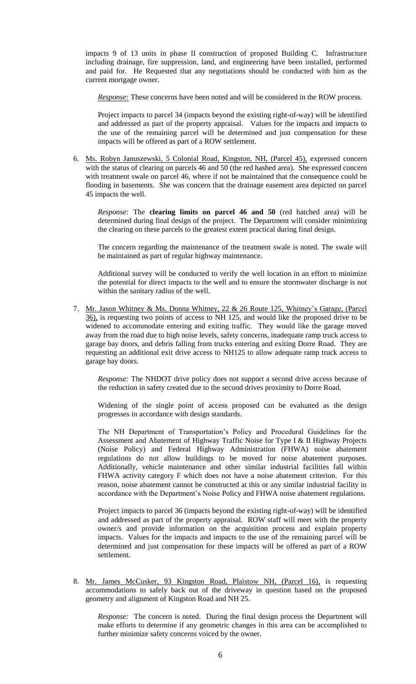impacts 9 of 13 units in phase II construction of proposed Building C. Infrastructure including drainage, fire suppression, land, and engineering have been installed, performed and paid for. He Requested that any negotiations should be conducted with him as the current mortgage owner.

*Response:* These concerns have been noted and will be considered in the ROW process.

Project impacts to parcel 34 (impacts beyond the existing right-of-way) will be identified and addressed as part of the property appraisal. Values for the impacts and impacts to the use of the remaining parcel will be determined and just compensation for these impacts will be offered as part of a ROW settlement.

6. Ms. Robyn Januszewski, 5 Colonial Road, Kingston, NH, (Parcel 45), expressed concern with the status of clearing on parcels 46 and 50 (the red hashed area). She expressed concern with treatment swale on parcel 46, where if not be maintained that the consequence could be flooding in basements. She was concern that the drainage easement area depicted on parcel 45 impacts the well.

*Response:* The **clearing limits on parcel 46 and 50** (red hatched area) will be determined during final design of the project. The Department will consider minimizing the clearing on these parcels to the greatest extent practical during final design.

The concern regarding the maintenance of the treatment swale is noted. The swale will be maintained as part of regular highway maintenance.

Additional survey will be conducted to verify the well location in an effort to minimize the potential for direct impacts to the well and to ensure the stormwater discharge is not within the sanitary radius of the well.

7. Mr. Jason Whitney & Ms. Donna Whitney, 22 & 26 Route 125, Whitney's Garage, (Parcel 36), is requesting two points of access to NH 125, and would like the proposed drive to be widened to accommodate entering and exiting traffic. They would like the garage moved away from the road due to high noise levels, safety concerns, inadequate ramp truck access to garage bay doors, and debris falling from trucks entering and exiting Dorre Road. They are requesting an additional exit drive access to NH125 to allow adequate ramp truck access to garage bay doors.

*Response:* The NHDOT drive policy does not support a second drive access because of the reduction in safety created due to the second drives proximity to Dorre Road.

Widening of the single point of access proposed can be evaluated as the design progresses in accordance with design standards.

The NH Department of Transportation's Policy and Procedural Guidelines for the Assessment and Abatement of Highway Traffic Noise for Type I & II Highway Projects (Noise Policy) and Federal Highway Administration (FHWA) noise abatement regulations do not allow buildings to be moved for noise abatement purposes. Additionally, vehicle maintenance and other similar industrial facilities fall within FHWA activity category F which does not have a noise abatement criterion. For this reason, noise abatement cannot be constructed at this or any similar industrial facility in accordance with the Department's Noise Policy and FHWA noise abatement regulations.

Project impacts to parcel 36 (impacts beyond the existing right-of-way) will be identified and addressed as part of the property appraisal. ROW staff will meet with the property owner/s and provide information on the acquisition process and explain property impacts. Values for the impacts and impacts to the use of the remaining parcel will be determined and just compensation for these impacts will be offered as part of a ROW settlement.

8. Mr. James McCusker, 93 Kingston Road, Plaistow NH, (Parcel 16), is requesting accommodations to safely back out of the driveway in question based on the proposed geometry and alignment of Kingston Road and NH 25.

*Response:* The concern is noted. During the final design process the Department will make efforts to determine if any geometric changes in this area can be accomplished to further minimize safety concerns voiced by the owner.